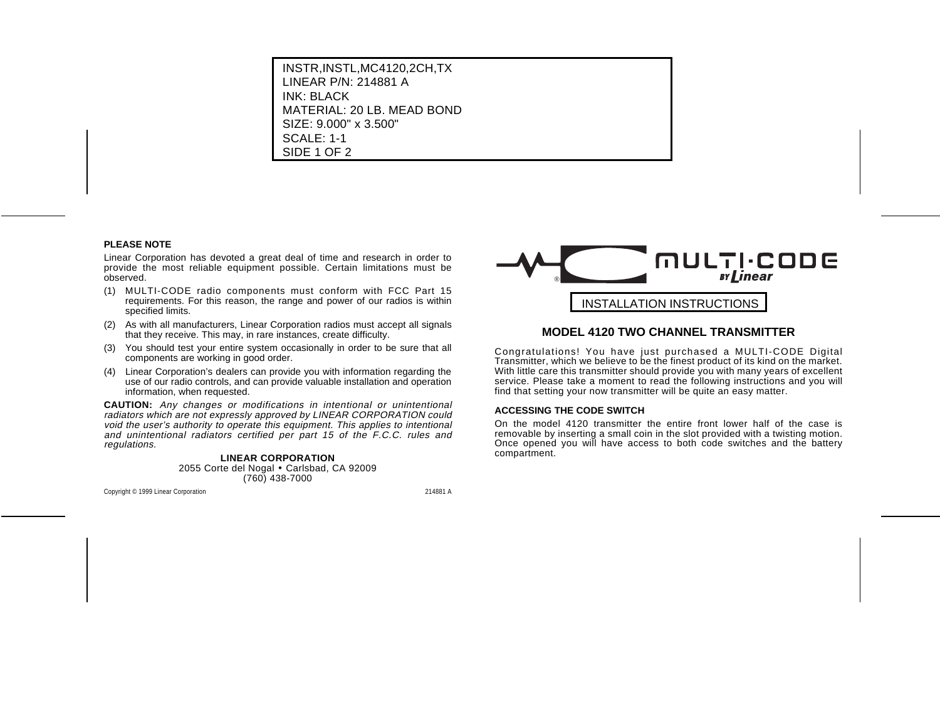## **PLEASE NOTE**

Linear Corporation has devoted a great deal of time and research in order to provide the most reliable equipment possible. Certain limitations must be observed.

- (1) MULTI-CODE radio components must conform with FCC Part 15 requirements. For this reason, the range and power of our radios is within specified limits.
- (2) As with all manufacturers, Linear Corporation radios must accept all signals that they receive. This may, in rare instances, create difficulty.
- (3) You should test your entire system occasionally in order to be sure that all components are working in good order.
- (4) Linear Corporation's dealers can provide you with information regarding the use of our radio controls, and can provide valuable installation and operation information, when requested.

**CAUTION:** Any changes or modifications in intentional or unintentional radiators which are not expressly approved by LINEAR CORPORATION could void the user's authority to operate this equipment. This applies to intentional and unintentional radiators certified per part 15 of the F.C.C. rules and regulations.

### **LINEAR CORPORATION** 2055 Corte del Nogal • Carlsbad, CA 92009 (760) 438-7000



# **MODEL 4120 TWO CHANNEL TRANSMITTER**

Congratulations! You have just purchased a MULTI-CODE Digital Transmitter, which we believe to be the finest product of its kind on the market. With little care this transmitter should provide you with many years of excellent service. Please take a moment to read the following instructions and you will find that setting your now transmitter will be quite an easy matter.

### **ACCESSING THE CODE SWITCH**

On the model 4120 transmitter the entire front lower half of the case isremovable by inserting a small coin in the slot provided with a twisting motion. Once opened you will have access to both code switches and the battery compartment.